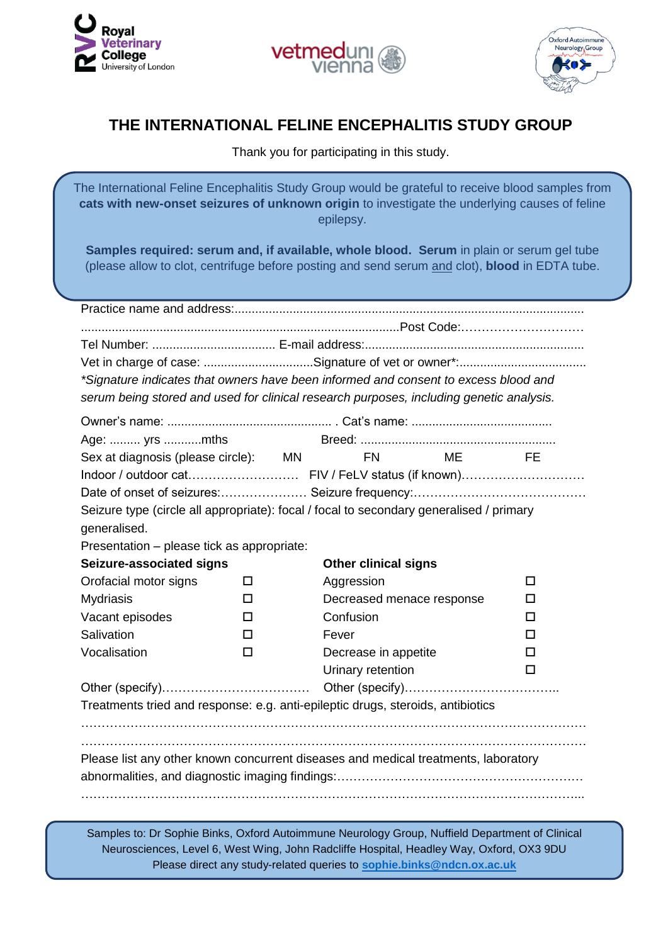





## **THE INTERNATIONAL FELINE ENCEPHALITIS STUDY GROUP**

Thank you for participating in this study.

The International Feline Encephalitis Study Group would be grateful to receive blood samples from **cats with new-onset seizures of unknown origin** to investigate the underlying causes of feline epilepsy.

**Samples required: serum and, if available, whole blood. Serum** in plain or serum gel tube (please allow to clot, centrifuge before posting and send serum and clot), **blood** in EDTA tube.

| *Signature indicates that owners have been informed and consent to excess blood and     |        |                             |  |    |
|-----------------------------------------------------------------------------------------|--------|-----------------------------|--|----|
| serum being stored and used for clinical research purposes, including genetic analysis. |        |                             |  |    |
|                                                                                         |        |                             |  |    |
| Age:  yrs mths                                                                          |        |                             |  |    |
| Sex at diagnosis (please circle): MN                                                    |        | FN ME                       |  | FE |
|                                                                                         |        |                             |  |    |
|                                                                                         |        |                             |  |    |
| Seizure type (circle all appropriate): focal / focal to secondary generalised / primary |        |                             |  |    |
| generalised.                                                                            |        |                             |  |    |
| Presentation - please tick as appropriate:                                              |        |                             |  |    |
| Seizure-associated signs                                                                |        | <b>Other clinical signs</b> |  |    |
| Orofacial motor signs                                                                   | □      | Aggression                  |  | п  |
| <b>Mydriasis</b>                                                                        | □      | Decreased menace response   |  | □  |
| Vacant episodes                                                                         | □      | Confusion                   |  | п  |
| Salivation                                                                              | П      | Fever                       |  | п  |
| Vocalisation                                                                            | $\Box$ | Decrease in appetite        |  | п  |
|                                                                                         |        | Urinary retention           |  | п  |
|                                                                                         |        |                             |  |    |
| Treatments tried and response: e.g. anti-epileptic drugs, steroids, antibiotics         |        |                             |  |    |
|                                                                                         |        |                             |  |    |
|                                                                                         |        |                             |  |    |
| Please list any other known concurrent diseases and medical treatments, laboratory      |        |                             |  |    |
|                                                                                         |        |                             |  |    |
|                                                                                         |        |                             |  |    |

Samples to: Dr Sophie Binks, Oxford Autoimmune Neurology Group, Nuffield Department of Clinical Neurosciences, Level 6, West Wing, John Radcliffe Hospital, Headley Way, Oxford, OX3 9DU Please direct any study-related queries to **[sophie.binks@ndcn.ox.ac.uk](mailto:sophie.binks@ndcn.ox.ac.uk)**